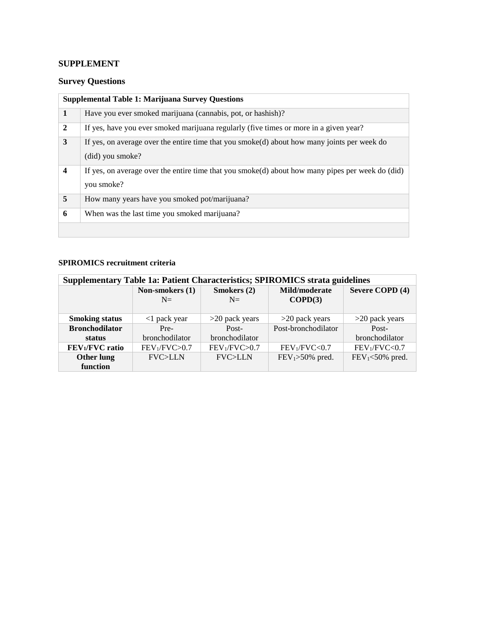## **SUPPLEMENT**

## **Survey Questions**

| <b>Supplemental Table 1: Marijuana Survey Questions</b> |                                                                                                                 |  |  |  |
|---------------------------------------------------------|-----------------------------------------------------------------------------------------------------------------|--|--|--|
| 1                                                       | Have you ever smoked marijuana (cannabis, pot, or hashish)?                                                     |  |  |  |
| $\overline{2}$                                          | If yes, have you ever smoked marijuana regularly (five times or more in a given year?                           |  |  |  |
| 3                                                       | If yes, on average over the entire time that you smoke(d) about how many joints per week do<br>(did) you smoke? |  |  |  |
| $\overline{\mathbf{4}}$                                 | If yes, on average over the entire time that you smoke(d) about how many pipes per week do (did)<br>you smoke?  |  |  |  |
| 5                                                       | How many years have you smoked pot/marijuana?                                                                   |  |  |  |
| 6                                                       | When was the last time you smoked marijuana?                                                                    |  |  |  |
|                                                         |                                                                                                                 |  |  |  |

## **SPIROMICS recruitment criteria**

| <b>Supplementary Table 1a: Patient Characteristics; SPIROMICS strata guidelines</b> |                           |                           |                           |                           |  |  |  |  |
|-------------------------------------------------------------------------------------|---------------------------|---------------------------|---------------------------|---------------------------|--|--|--|--|
|                                                                                     | Non-smokers (1)           | Smokers (2)               | Mild/moderate             | Severe COPD (4)           |  |  |  |  |
|                                                                                     | $N=$                      | $N=$                      | COPD(3)                   |                           |  |  |  |  |
|                                                                                     |                           |                           |                           |                           |  |  |  |  |
| <b>Smoking status</b>                                                               | $\langle$ 1 pack year     | $>20$ pack years          | $>20$ pack years          | $>20$ pack years          |  |  |  |  |
| <b>Bronchodilator</b>                                                               | Pre-                      | Post-                     | Post-bronchodilator       | Post-                     |  |  |  |  |
| status                                                                              | bronchodilator            | bronchodilator            |                           | bronchodilator            |  |  |  |  |
| FEV <sub>1</sub> /FVC ratio                                                         | FEV <sub>1</sub> /FVC>0.7 | FEV <sub>1</sub> /FVC>0.7 | FEV <sub>1</sub> /FVC<0.7 | FEV <sub>1</sub> /FVC<0.7 |  |  |  |  |
| Other lung                                                                          | <b>FVC&gt;LLN</b>         | <b>FVC&gt;LLN</b>         | $FEV1>50%$ pred.          | $FEV1<$ 50% pred.         |  |  |  |  |
| function                                                                            |                           |                           |                           |                           |  |  |  |  |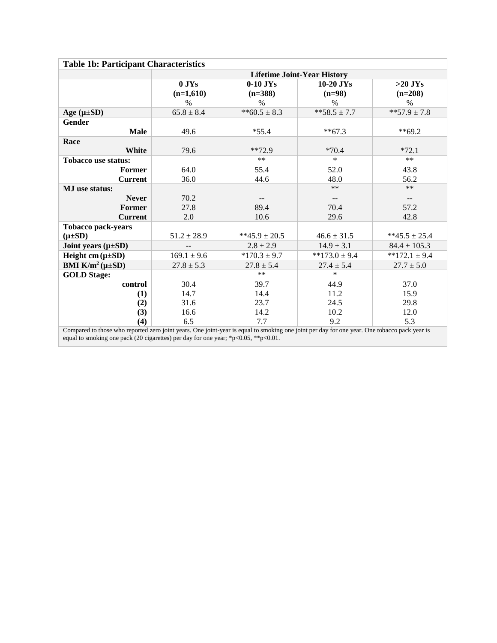| <b>Table 1b: Participant Characteristics</b>                                                                                                 |                                    |                   |                   |                          |  |  |
|----------------------------------------------------------------------------------------------------------------------------------------------|------------------------------------|-------------------|-------------------|--------------------------|--|--|
|                                                                                                                                              | <b>Lifetime Joint-Year History</b> |                   |                   |                          |  |  |
|                                                                                                                                              | $0$ JYs                            | $0-10$ JYs        | $10-20$ JYs       | $>20$ JYs                |  |  |
|                                                                                                                                              | $(n=1,610)$                        | $(n=388)$         | $(n=98)$          | $(n=208)$                |  |  |
|                                                                                                                                              | $\%$                               | $\%$              | $\%$              | $\%$                     |  |  |
| Age $(\mu \pm SD)$                                                                                                                           | $65.8 \pm 8.4$                     | ** $60.5 \pm 8.3$ | $**58.5 \pm 7.7$  | **57.9 $\pm$ 7.8         |  |  |
| <b>Gender</b>                                                                                                                                |                                    |                   |                   |                          |  |  |
| <b>Male</b>                                                                                                                                  | 49.6                               | $*55.4$           | $**67.3$          | $**69.2$                 |  |  |
| Race                                                                                                                                         |                                    |                   |                   |                          |  |  |
| White                                                                                                                                        | 79.6                               | $**72.9$          | $*70.4$           | $*72.1$                  |  |  |
| <b>Tobacco use status:</b>                                                                                                                   |                                    | $**$              | $\ast$            | $**$                     |  |  |
| Former                                                                                                                                       | 64.0                               | 55.4              | 52.0              | 43.8                     |  |  |
| <b>Current</b>                                                                                                                               | 36.0                               | 44.6              | 48.0              | 56.2                     |  |  |
| <b>MJ</b> use status:                                                                                                                        |                                    |                   | $**$              | $**$                     |  |  |
| <b>Never</b>                                                                                                                                 | 70.2                               |                   | $-$               | $\overline{\phantom{a}}$ |  |  |
| <b>Former</b>                                                                                                                                | 27.8                               | 89.4              | 70.4              | 57.2                     |  |  |
| <b>Current</b>                                                                                                                               | 2.0                                | 10.6              | 29.6              | 42.8                     |  |  |
| <b>Tobacco pack-years</b>                                                                                                                    |                                    |                   |                   |                          |  |  |
| $(\mu \pm SD)$                                                                                                                               | $51.2 \pm 28.9$                    | **45.9 ± 20.5     | $46.6 \pm 31.5$   | $**45.5 \pm 25.4$        |  |  |
| Joint years $(\mu \pm SD)$                                                                                                                   | $\qquad \qquad -$                  | $2.8 \pm 2.9$     | $14.9 \pm 3.1$    | $84.4 \pm 105.3$         |  |  |
| Height cm $(\mu \pm SD)$                                                                                                                     | $169.1 \pm 9.6$                    | $*170.3 \pm 9.7$  | $**173.0 \pm 9.4$ | $*172.1 \pm 9.4$         |  |  |
| BMI $K/m^2(\mu \pm SD)$                                                                                                                      | $27.8 \pm 5.3$                     | $27.8 \pm 5.4$    | $27.4 \pm 5.4$    | $27.7 \pm 5.0$           |  |  |
| <b>GOLD Stage:</b>                                                                                                                           |                                    | $**$              | *                 |                          |  |  |
| control                                                                                                                                      | 30.4                               | 39.7              | 44.9              | 37.0                     |  |  |
| (1)                                                                                                                                          | 14.7                               | 14.4              | 11.2              | 15.9                     |  |  |
| (2)                                                                                                                                          | 31.6                               | 23.7              | 24.5              | 29.8                     |  |  |
| (3)                                                                                                                                          | 16.6                               | 14.2              | 10.2              | 12.0                     |  |  |
| (4)                                                                                                                                          | 6.5                                | 7.7               | 9.2               | 5.3                      |  |  |
| Compared to those who reported zero joint years. One joint-year is equal to smoking one joint per day for one year. One tobacco pack year is |                                    |                   |                   |                          |  |  |

Compared to those who reported zero joint years. One joint-year is equal to smoking one joint per day for one year. One tobacco pack year is equal to smoking one pack (20 cigarettes) per day for one year; \*p<0.05, \*\*p<0.01.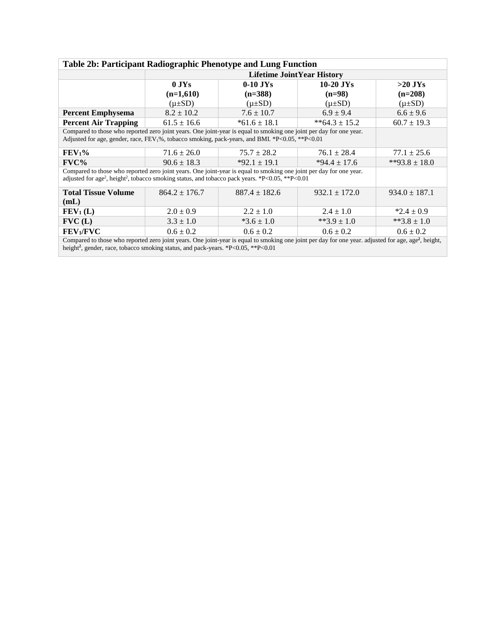| Table 2b: Participant Radiographic Phenotype and Lung Function                                                                                                                                                                                                    |                                   |                   |                   |                   |  |  |  |
|-------------------------------------------------------------------------------------------------------------------------------------------------------------------------------------------------------------------------------------------------------------------|-----------------------------------|-------------------|-------------------|-------------------|--|--|--|
|                                                                                                                                                                                                                                                                   | <b>Lifetime JointYear History</b> |                   |                   |                   |  |  |  |
|                                                                                                                                                                                                                                                                   | $0$ JYs                           | $0-10$ JYs        | $10-20$ JYs       | $>20$ JYs         |  |  |  |
|                                                                                                                                                                                                                                                                   | $(n=1,610)$                       | $(n=388)$         | $(n=98)$          | $(n=208)$         |  |  |  |
|                                                                                                                                                                                                                                                                   | $(\mu \pm SD)$                    | $(\mu \pm SD)$    | $(\mu \pm SD)$    | $(\mu \pm SD)$    |  |  |  |
| <b>Percent Emphysema</b>                                                                                                                                                                                                                                          | $8.2 \pm 10.2$                    | $7.6 \pm 10.7$    | $6.9 \pm 9.4$     | $6.6 \pm 9.6$     |  |  |  |
| <b>Percent Air Trapping</b>                                                                                                                                                                                                                                       | $61.5 \pm 16.6$                   | $*61.6 \pm 18.1$  | **64.3 ± 15.2     | $60.7 \pm 19.3$   |  |  |  |
| Compared to those who reported zero joint years. One joint-year is equal to smoking one joint per day for one year.<br>Adjusted for age, gender, race, FEV <sub>1</sub> %, tobacco smoking, pack-years, and BMI. *P<0.05, **P<0.01                                |                                   |                   |                   |                   |  |  |  |
| FEV <sub>1</sub> %                                                                                                                                                                                                                                                | $71.6 \pm 26.0$                   | $75.7 \pm 28.2$   | $76.1 \pm 28.4$   | $77.1 \pm 25.6$   |  |  |  |
| FVC%                                                                                                                                                                                                                                                              | $90.6 \pm 18.3$                   | $*92.1 \pm 19.1$  | $*94.4 \pm 17.6$  | **93.8 ± 18.0     |  |  |  |
| Compared to those who reported zero joint years. One joint-year is equal to smoking one joint per day for one year.<br>adjusted for age <sup>2</sup> , height <sup>2</sup> , tobacco smoking status, and tobacco pack years. *P<0.05, **P<0.01                    |                                   |                   |                   |                   |  |  |  |
| <b>Total Tissue Volume</b>                                                                                                                                                                                                                                        | $864.2 \pm 176.7$                 | $887.4 \pm 182.6$ | $932.1 \pm 172.0$ | $934.0 \pm 187.1$ |  |  |  |
| (mL)                                                                                                                                                                                                                                                              |                                   |                   |                   |                   |  |  |  |
| $FEV_1(L)$                                                                                                                                                                                                                                                        | $2.0 \pm 0.9$                     | $2.2 \pm 1.0$     | $2.4 \pm 1.0$     | $*2.4 \pm 0.9$    |  |  |  |
| FVC(L)                                                                                                                                                                                                                                                            | $3.3 \pm 1.0$                     | $*3.6 \pm 1.0$    | **3.9 $\pm$ 1.0   | **3.8 $\pm$ 1.0   |  |  |  |
| FEV <sub>1</sub> /FVC                                                                                                                                                                                                                                             | $0.6 \pm 0.2$                     | $0.6 \pm 0.2$     | $0.6 \pm 0.2$     | $0.6 \pm 0.2$     |  |  |  |
| Compared to those who reported zero joint years. One joint-year is equal to smoking one joint per day for one year. adjusted for age, age <sup>2</sup> , height,<br>height <sup>2</sup> , gender, race, tobacco smoking status, and pack-years. *P<0.05, **P<0.01 |                                   |                   |                   |                   |  |  |  |